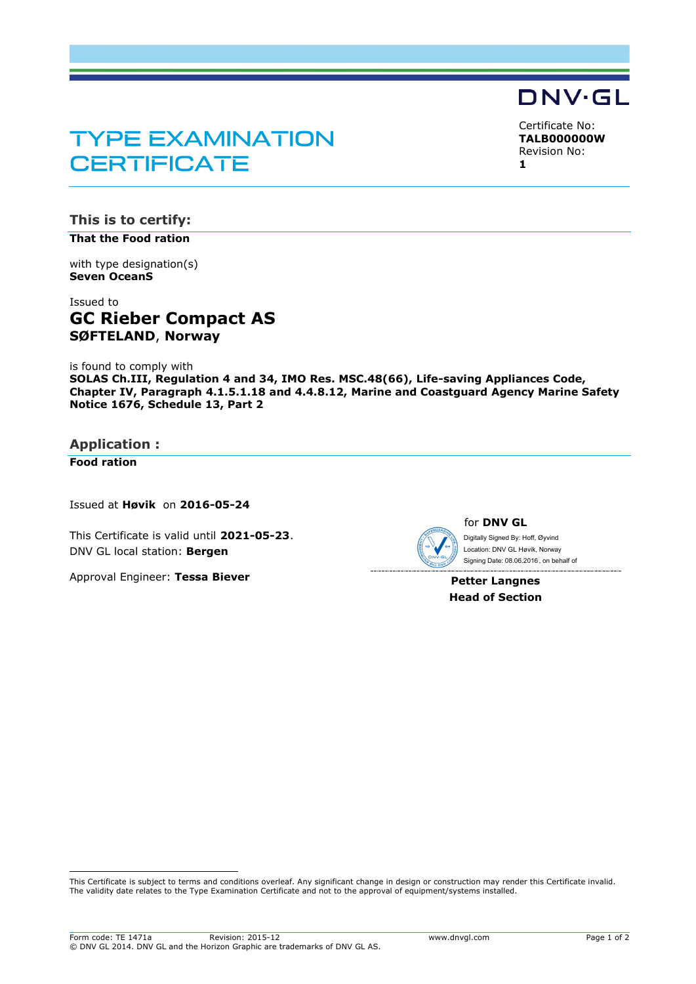# **TYPE EXAMINATION CERTIFICATE**

Certificate No: **TALB000000W** Revision No: **1**

**DNV·GL** 

**This is to certify: That the Food ration**

with type designation(s)

**Seven OceanS**

# Issued to **GC Rieber Compact AS SØFTELAND**, **Norway**

is found to comply with

**SOLAS Ch.III, Regulation 4 and 34, IMO Res. MSC.48(66), Life-saving Appliances Code, Chapter IV, Paragraph 4.1.5.1.18 and 4.4.8.12, Marine and Coastguard Agency Marine Safety Notice 1676, Schedule 13, Part 2**

**Application :**

**Food ration**

ı

Issued at **Høvik** on **2016-05-24**

This Certificate is valid until **2021-05-23**. DNV GL local station: **Bergen**

Approval Engineer: **Tessa Biever**



 Signing Date: 08.06.2016 , on behalf ofDigitally Signed By: Hoff, Øyvind Location: DNV GL Høvik, Norway

**Petter Langnes Head of Section**

This Certificate is subject to terms and conditions overleaf. Any significant change in design or construction may render this Certificate invalid. The validity date relates to the Type Examination Certificate and not to the approval of equipment/systems installed.